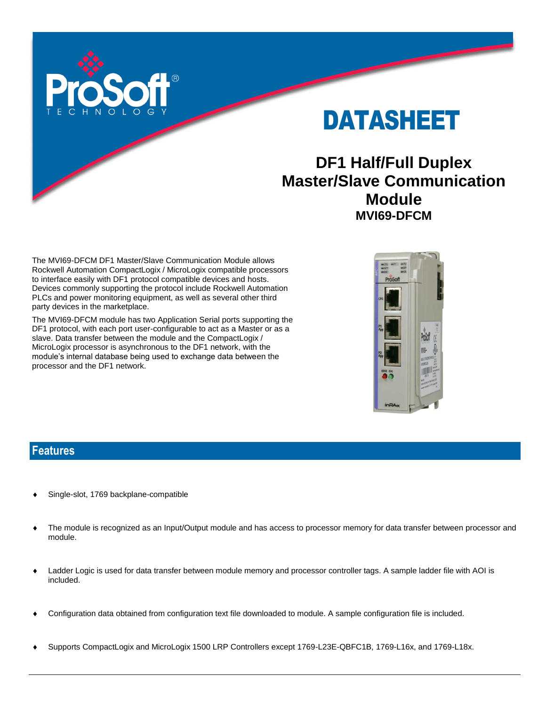

DATASHEET

# **DF1 Half/Full Duplex Master/Slave Communication Module MVI69-DFCM**

The MVI69-DFCM DF1 Master/Slave Communication Module allows Rockwell Automation CompactLogix / MicroLogix compatible processors to interface easily with DF1 protocol compatible devices and hosts. Devices commonly supporting the protocol include Rockwell Automation PLCs and power monitoring equipment, as well as several other third party devices in the marketplace.

The MVI69-DFCM module has two Application Serial ports supporting the DF1 protocol, with each port user-configurable to act as a Master or as a slave. Data transfer between the module and the CompactLogix / MicroLogix processor is asynchronous to the DF1 network, with the module's internal database being used to exchange data between the processor and the DF1 network.



#### **Features**

- Single-slot, 1769 backplane-compatible
- The module is recognized as an Input/Output module and has access to processor memory for data transfer between processor and module.
- Ladder Logic is used for data transfer between module memory and processor controller tags. A sample ladder file with AOI is included.
- Configuration data obtained from configuration text file downloaded to module. A sample configuration file is included.
- Supports CompactLogix and MicroLogix 1500 LRP Controllers except 1769-L23E-QBFC1B, 1769-L16x, and 1769-L18x.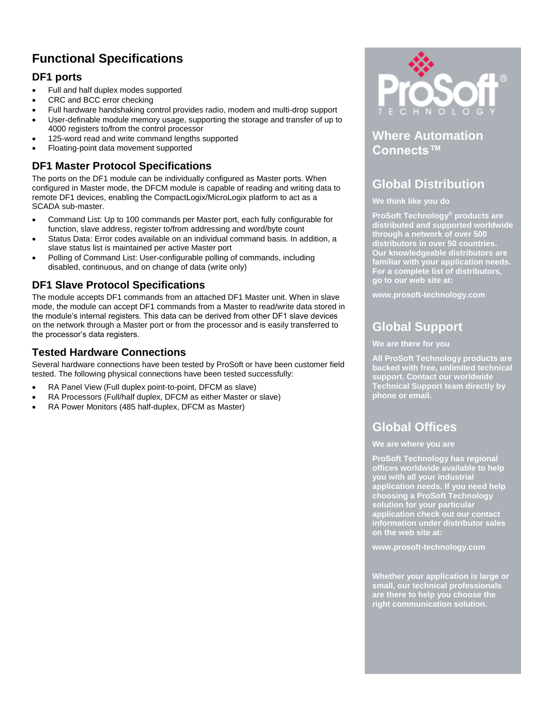# **Functional Specifications**

### **DF1 ports**

- Full and half duplex modes supported
- CRC and BCC error checking
- Full hardware handshaking control provides radio, modem and multi-drop support
- User-definable module memory usage, supporting the storage and transfer of up to 4000 registers to/from the control processor
- 125-word read and write command lengths supported
- Floating-point data movement supported

### **DF1 Master Protocol Specifications**

The ports on the DF1 module can be individually configured as Master ports. When configured in Master mode, the DFCM module is capable of reading and writing data to remote DF1 devices, enabling the CompactLogix/MicroLogix platform to act as a SCADA sub-master.

- Command List: Up to 100 commands per Master port, each fully configurable for function, slave address, register to/from addressing and word/byte count
- Status Data: Error codes available on an individual command basis. In addition, a slave status list is maintained per active Master port
- Polling of Command List: User-configurable polling of commands, including disabled, continuous, and on change of data (write only)

### **DF1 Slave Protocol Specifications**

The module accepts DF1 commands from an attached DF1 Master unit. When in slave mode, the module can accept DF1 commands from a Master to read/write data stored in the module's internal registers. This data can be derived from other DF1 slave devices on the network through a Master port or from the processor and is easily transferred to the processor's data registers.

### **Tested Hardware Connections**

Several hardware connections have been tested by ProSoft or have been customer field tested. The following physical connections have been tested successfully:

- RA Panel View (Full duplex point-to-point, DFCM as slave)
- RA Processors (Full/half duplex, DFCM as either Master or slave)
- RA Power Monitors (485 half-duplex, DFCM as Master)



## **Where Automation Connects™**

## **Global Distribution**

#### **We think like you do**

**ProSoft Technology® products are distributed and supported worldwide through a network of over 500 distributors in over 50 countries. Our knowledgeable distributors are familiar with your application needs. For a complete list of distributors, go to our web site at:**

**www.prosoft-technology.com**

## **Global Support**

#### **We are there for you**

**All ProSoft Technology products are backed with free, unlimited technical support. Contact our worldwide Technical Support team directly by phone or email.**

## **Global Offices**

**We are where you are** 

**ProSoft Technology has regional offices worldwide available to help you with all your industrial application needs. If you need help choosing a ProSoft Technology solution for your particular application check out our contact information under distributor sales on the web site at:**

**www.prosoft-technology.com**

**Whether your application is large or small, our technical professionals are there to help you choose the right communication solution.**